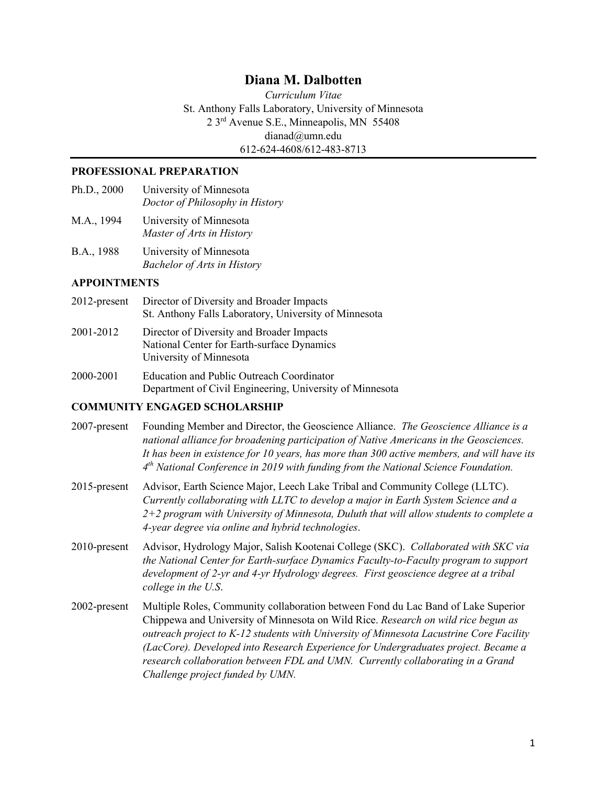# **Diana M. Dalbotten**

*Curriculum Vitae* St. Anthony Falls Laboratory, University of Minnesota 2 3rd Avenue S.E., Minneapolis, MN 55408 dianad@umn.edu 612-624-4608/612-483-8713

#### **PROFESSIONAL PREPARATION**

- Ph.D., 2000 University of Minnesota *Doctor of Philosophy in History*
- M.A., 1994 University of Minnesota *Master of Arts in History*
- B.A., 1988 University of Minnesota *Bachelor of Arts in History*

#### **APPOINTMENTS**

- 2012-present Director of Diversity and Broader Impacts St. Anthony Falls Laboratory, University of Minnesota
- 2001-2012 Director of Diversity and Broader Impacts National Center for Earth-surface Dynamics University of Minnesota
- 2000-2001 Education and Public Outreach Coordinator Department of Civil Engineering, University of Minnesota

### **COMMUNITY ENGAGED SCHOLARSHIP**

| 2007-present    | Founding Member and Director, the Geoscience Alliance. The Geoscience Alliance is a<br>national alliance for broadening participation of Native Americans in the Geosciences.<br>It has been in existence for 10 years, has more than 300 active members, and will have its<br>$4th$ National Conference in 2019 with funding from the National Science Foundation.                                                                                                           |
|-----------------|-------------------------------------------------------------------------------------------------------------------------------------------------------------------------------------------------------------------------------------------------------------------------------------------------------------------------------------------------------------------------------------------------------------------------------------------------------------------------------|
| 2015-present    | Advisor, Earth Science Major, Leech Lake Tribal and Community College (LLTC).<br>Currently collaborating with LLTC to develop a major in Earth System Science and a<br>$2+2$ program with University of Minnesota, Duluth that will allow students to complete a<br>4-year degree via online and hybrid technologies.                                                                                                                                                         |
| $2010$ -present | Advisor, Hydrology Major, Salish Kootenai College (SKC). Collaborated with SKC via<br>the National Center for Earth-surface Dynamics Faculty-to-Faculty program to support<br>development of 2-yr and 4-yr Hydrology degrees. First geoscience degree at a tribal<br>college in the U.S.                                                                                                                                                                                      |
| 2002-present    | Multiple Roles, Community collaboration between Fond du Lac Band of Lake Superior<br>Chippewa and University of Minnesota on Wild Rice. Research on wild rice begun as<br>outreach project to K-12 students with University of Minnesota Lacustrine Core Facility<br>(LacCore). Developed into Research Experience for Undergraduates project. Became a<br>research collaboration between FDL and UMN. Currently collaborating in a Grand<br>Challenge project funded by UMN. |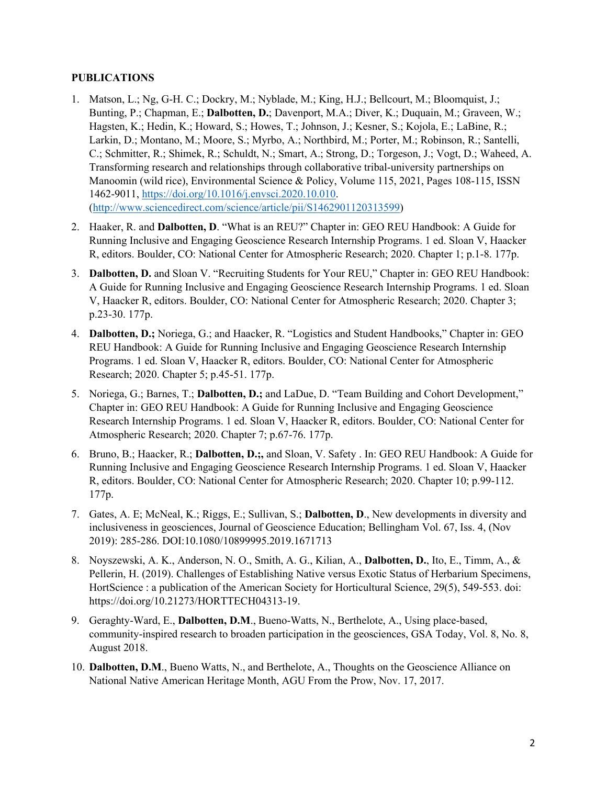#### **PUBLICATIONS**

- 1. Matson, L.; Ng, G-H. C.; Dockry, M.; Nyblade, M.; King, H.J.; Bellcourt, M.; Bloomquist, J.; Bunting, P.; Chapman, E.; **Dalbotten, D.**; Davenport, M.A.; Diver, K.; Duquain, M.; Graveen, W.; Hagsten, K.; Hedin, K.; Howard, S.; Howes, T.; Johnson, J.; Kesner, S.; Kojola, E.; LaBine, R.; Larkin, D.; Montano, M.; Moore, S.; Myrbo, A.; Northbird, M.; Porter, M.; Robinson, R.; Santelli, C.; Schmitter, R.; Shimek, R.; Schuldt, N.; Smart, A.; Strong, D.; Torgeson, J.; Vogt, D.; Waheed, A. Transforming research and relationships through collaborative tribal-university partnerships on Manoomin (wild rice), Environmental Science & Policy, Volume 115, 2021, Pages 108-115, ISSN 1462-9011, [https://doi.org/10.1016/j.envsci.2020.10.010.](https://doi.org/10.1016/j.envsci.2020.10.010) [\(http://www.sciencedirect.com/science/article/pii/S1462901120313599\)](http://www.sciencedirect.com/science/article/pii/S1462901120313599)
- 2. Haaker, R. and **Dalbotten, D**. "What is an REU?" Chapter in: GEO REU Handbook: A Guide for Running Inclusive and Engaging Geoscience Research Internship Programs. 1 ed. Sloan V, Haacker R, editors. Boulder, CO: National Center for Atmospheric Research; 2020. Chapter 1; p.1-8. 177p.
- 3. **Dalbotten, D.** and Sloan V. "Recruiting Students for Your REU," Chapter in: GEO REU Handbook: A Guide for Running Inclusive and Engaging Geoscience Research Internship Programs. 1 ed. Sloan V, Haacker R, editors. Boulder, CO: National Center for Atmospheric Research; 2020. Chapter 3; p.23-30. 177p.
- 4. **Dalbotten, D.;** Noriega, G.; and Haacker, R. "Logistics and Student Handbooks," Chapter in: GEO REU Handbook: A Guide for Running Inclusive and Engaging Geoscience Research Internship Programs. 1 ed. Sloan V, Haacker R, editors. Boulder, CO: National Center for Atmospheric Research; 2020. Chapter 5; p.45-51. 177p.
- 5. Noriega, G.; Barnes, T.; **Dalbotten, D.;** and LaDue, D. "Team Building and Cohort Development," Chapter in: GEO REU Handbook: A Guide for Running Inclusive and Engaging Geoscience Research Internship Programs. 1 ed. Sloan V, Haacker R, editors. Boulder, CO: National Center for Atmospheric Research; 2020. Chapter 7; p.67-76. 177p.
- 6. Bruno, B.; Haacker, R.; **Dalbotten, D.;,** and Sloan, V. Safety . In: GEO REU Handbook: A Guide for Running Inclusive and Engaging Geoscience Research Internship Programs. 1 ed. Sloan V, Haacker R, editors. Boulder, CO: National Center for Atmospheric Research; 2020. Chapter 10; p.99-112. 177p.
- 7. Gates, A. E; McNeal, K.; Riggs, E.; Sullivan, S.; **Dalbotten, D**., New developments in diversity and inclusiveness in geosciences, Journal of Geoscience Education; Bellingham Vol. 67, Iss. 4, (Nov 2019): 285-286. DOI:10.1080/10899995.2019.1671713
- 8. Noyszewski, A. K., Anderson, N. O., Smith, A. G., Kilian, A., **Dalbotten, D.**, Ito, E., Timm, A., & Pellerin, H. (2019). Challenges of Establishing Native versus Exotic Status of Herbarium Specimens, HortScience : a publication of the American Society for Horticultural Science, 29(5), 549-553. doi: https://doi.org/10.21273/HORTTECH04313-19.
- 9. Geraghty-Ward, E., **Dalbotten, D.M**., Bueno-Watts, N., Berthelote, A., Using place-based, community-inspired research to broaden participation in the geosciences, GSA Today, Vol. 8, No. 8, August 2018.
- 10. **Dalbotten, D.M**., Bueno Watts, N., and Berthelote, A., Thoughts on the Geoscience Alliance on National Native American Heritage Month, AGU From the Prow, Nov. 17, 2017.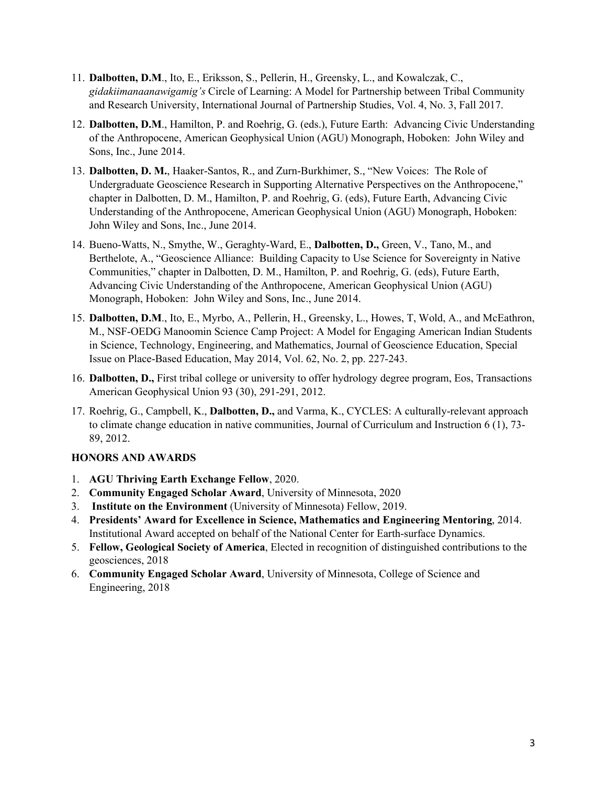- 11. **Dalbotten, D.M**., Ito, E., Eriksson, S., Pellerin, H., Greensky, L., and Kowalczak, C., *gidakiimanaanawigamig's* Circle of Learning: A Model for Partnership between Tribal Community and Research University, International Journal of Partnership Studies, Vol. 4, No. 3, Fall 2017.
- 12. **Dalbotten, D.M**., Hamilton, P. and Roehrig, G. (eds.), Future Earth: Advancing Civic Understanding of the Anthropocene, American Geophysical Union (AGU) Monograph, Hoboken: John Wiley and Sons, Inc., June 2014.
- 13. **Dalbotten, D. M.**, Haaker-Santos, R., and Zurn-Burkhimer, S., "New Voices: The Role of Undergraduate Geoscience Research in Supporting Alternative Perspectives on the Anthropocene," chapter in Dalbotten, D. M., Hamilton, P. and Roehrig, G. (eds), Future Earth, Advancing Civic Understanding of the Anthropocene, American Geophysical Union (AGU) Monograph, Hoboken: John Wiley and Sons, Inc., June 2014.
- 14. Bueno-Watts, N., Smythe, W., Geraghty-Ward, E., **Dalbotten, D.,** Green, V., Tano, M., and Berthelote, A., "Geoscience Alliance: Building Capacity to Use Science for Sovereignty in Native Communities," chapter in Dalbotten, D. M., Hamilton, P. and Roehrig, G. (eds), Future Earth, Advancing Civic Understanding of the Anthropocene, American Geophysical Union (AGU) Monograph, Hoboken: John Wiley and Sons, Inc., June 2014.
- 15. **Dalbotten, D.M**., Ito, E., Myrbo, A., Pellerin, H., Greensky, L., Howes, T, Wold, A., and McEathron, M., NSF-OEDG Manoomin Science Camp Project: A Model for Engaging American Indian Students in Science, Technology, Engineering, and Mathematics, Journal of Geoscience Education, Special Issue on Place-Based Education, May 2014, Vol. 62, No. 2, pp. 227-243.
- 16. **Dalbotten, D.,** First tribal college or university to offer hydrology degree program, Eos, Transactions American Geophysical Union 93 (30), 291-291, 2012.
- 17. Roehrig, G., Campbell, K., **Dalbotten, D.,** and Varma, K., CYCLES: A culturally-relevant approach to climate change education in native communities, Journal of Curriculum and Instruction 6 (1), 73- 89, 2012.

# **HONORS AND AWARDS**

- 1. **AGU Thriving Earth Exchange Fellow**, 2020.
- 2. **Community Engaged Scholar Award**, University of Minnesota, 2020
- 3. **Institute on the Environment** (University of Minnesota) Fellow, 2019.
- 4. **Presidents' Award for Excellence in Science, Mathematics and Engineering Mentoring**, 2014. Institutional Award accepted on behalf of the National Center for Earth-surface Dynamics.
- 5. **Fellow, Geological Society of America**, Elected in recognition of distinguished contributions to the geosciences, 2018
- 6. **Community Engaged Scholar Award**, University of Minnesota, College of Science and Engineering, 2018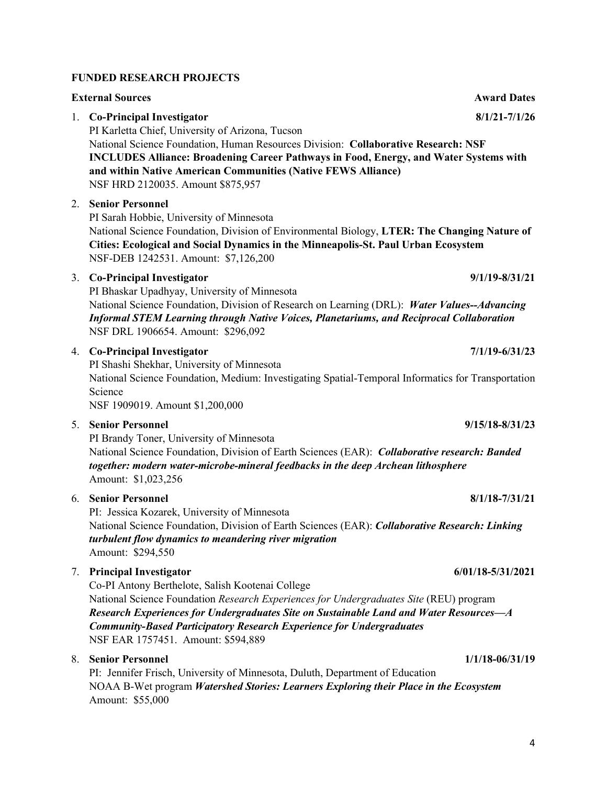# **FUNDED RESEARCH PROJECTS**

| <b>External Sources</b> |                                                                                                                                                                                                                                                                                                                                                                                        |                     |
|-------------------------|----------------------------------------------------------------------------------------------------------------------------------------------------------------------------------------------------------------------------------------------------------------------------------------------------------------------------------------------------------------------------------------|---------------------|
|                         | 1. Co-Principal Investigator<br>PI Karletta Chief, University of Arizona, Tucson<br>National Science Foundation, Human Resources Division: Collaborative Research: NSF<br><b>INCLUDES Alliance: Broadening Career Pathways in Food, Energy, and Water Systems with</b><br>and within Native American Communities (Native FEWS Alliance)<br>NSF HRD 2120035. Amount \$875,957           | $8/1/21 - 7/1/26$   |
|                         | 2. Senior Personnel<br>PI Sarah Hobbie, University of Minnesota<br>National Science Foundation, Division of Environmental Biology, LTER: The Changing Nature of<br>Cities: Ecological and Social Dynamics in the Minneapolis-St. Paul Urban Ecosystem<br>NSF-DEB 1242531. Amount: \$7,126,200                                                                                          |                     |
|                         | 3. Co-Principal Investigator<br>PI Bhaskar Upadhyay, University of Minnesota<br>National Science Foundation, Division of Research on Learning (DRL): Water Values--Advancing<br><b>Informal STEM Learning through Native Voices, Planetariums, and Reciprocal Collaboration</b><br>NSF DRL 1906654. Amount: \$296,092                                                                  | $9/1/19 - 8/31/21$  |
|                         | 4. Co-Principal Investigator<br>PI Shashi Shekhar, University of Minnesota<br>National Science Foundation, Medium: Investigating Spatial-Temporal Informatics for Transportation<br>Science<br>NSF 1909019. Amount \$1,200,000                                                                                                                                                         | $7/1/19 - 6/31/23$  |
| 5.                      | <b>Senior Personnel</b><br>PI Brandy Toner, University of Minnesota<br>National Science Foundation, Division of Earth Sciences (EAR): Collaborative research: Banded<br>together: modern water-microbe-mineral feedbacks in the deep Archean lithosphere<br>Amount: \$1,023,256                                                                                                        | $9/15/18 - 8/31/23$ |
|                         | 6. Senior Personnel<br>PI: Jessica Kozarek, University of Minnesota<br>National Science Foundation, Division of Earth Sciences (EAR): Collaborative Research: Linking<br>turbulent flow dynamics to meandering river migration<br>Amount: \$294,550                                                                                                                                    | $8/1/18 - 7/31/21$  |
|                         | 7. Principal Investigator<br>Co-PI Antony Berthelote, Salish Kootenai College<br>National Science Foundation Research Experiences for Undergraduates Site (REU) program<br>Research Experiences for Undergraduates Site on Sustainable Land and Water Resources—A<br><b>Community-Based Participatory Research Experience for Undergraduates</b><br>NSF EAR 1757451. Amount: \$594,889 | 6/01/18-5/31/2021   |
|                         | 8. Senior Personnel<br>PI: Jennifer Frisch, University of Minnesota, Duluth, Department of Education<br>NOAA B-Wet program Watershed Stories: Learners Exploring their Place in the Ecosystem<br>Amount: \$55,000                                                                                                                                                                      | $1/1/18 - 06/31/19$ |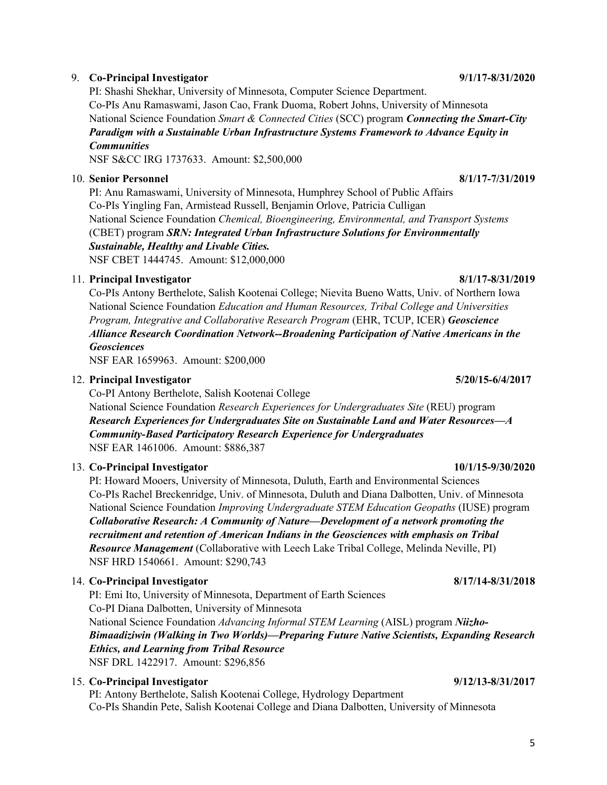#### 9. **Co-Principal Investigator 9/1/17-8/31/2020**

PI: Shashi Shekhar, University of Minnesota, Computer Science Department. Co-PIs Anu Ramaswami, Jason Cao, Frank Duoma, Robert Johns, University of Minnesota National Science Foundation *Smart & Connected Cities* (SCC) program *Connecting the Smart-City Paradigm with a Sustainable Urban Infrastructure Systems Framework to Advance Equity in Communities*

NSF S&CC IRG 1737633. Amount: \$2,500,000

## 10. **Senior Personnel 8/1/17-7/31/2019**

PI: Anu Ramaswami, University of Minnesota, Humphrey School of Public Affairs Co-PIs Yingling Fan, Armistead Russell, Benjamin Orlove, Patricia Culligan National Science Foundation *Chemical, Bioengineering, Environmental, and Transport Systems*  (CBET) program *SRN: Integrated Urban Infrastructure Solutions for Environmentally Sustainable, Healthy and Livable Cities.*

NSF CBET 1444745. Amount: \$12,000,000

### 11. **Principal Investigator 8/1/17-8/31/2019**

Co-PIs Antony Berthelote, Salish Kootenai College; Nievita Bueno Watts, Univ. of Northern Iowa National Science Foundation *Education and Human Resources, Tribal College and Universities Program, Integrative and Collaborative Research Program* (EHR, TCUP, ICER) *Geoscience Alliance Research Coordination Network--Broadening Participation of Native Americans in the Geosciences*

NSF EAR 1659963. Amount: \$200,000

### 12. **Principal Investigator 5/20/15-6/4/2017**

Co-PI Antony Berthelote, Salish Kootenai College

National Science Foundation *Research Experiences for Undergraduates Site* (REU) program *Research Experiences for Undergraduates Site on Sustainable Land and Water Resources—A Community-Based Participatory Research Experience for Undergraduates* NSF EAR 1461006. Amount: \$886,387

# 13. **Co-Principal Investigator 10/1/15-9/30/2020**

PI: Howard Mooers, University of Minnesota, Duluth, Earth and Environmental Sciences Co-PIs Rachel Breckenridge, Univ. of Minnesota, Duluth and Diana Dalbotten, Univ. of Minnesota National Science Foundation *Improving Undergraduate STEM Education Geopaths* (IUSE) program *Collaborative Research: A Community of Nature—Development of a network promoting the recruitment and retention of American Indians in the Geosciences with emphasis on Tribal Resource Management* (Collaborative with Leech Lake Tribal College, Melinda Neville, PI) NSF HRD 1540661. Amount: \$290,743

### 14. **Co-Principal Investigator 8/17/14-8/31/2018**

PI: Emi Ito, University of Minnesota, Department of Earth Sciences Co-PI Diana Dalbotten, University of Minnesota National Science Foundation *Advancing Informal STEM Learning* (AISL) program *Niizho-Bimaadiziwin (Walking in Two Worlds)—Preparing Future Native Scientists, Expanding Research Ethics, and Learning from Tribal Resource*  NSF DRL 1422917. Amount: \$296,856

### 15. **Co-Principal Investigator 9/12/13-8/31/2017**

PI: Antony Berthelote, Salish Kootenai College, Hydrology Department Co-PIs Shandin Pete, Salish Kootenai College and Diana Dalbotten, University of Minnesota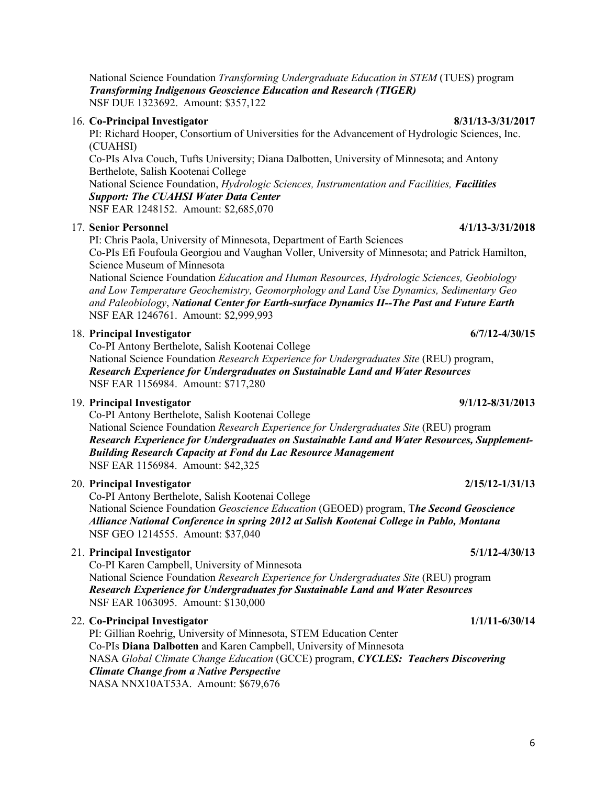National Science Foundation *Transforming Undergraduate Education in STEM* (TUES) program *Transforming Indigenous Geoscience Education and Research (TIGER)*  NSF DUE 1323692. Amount: \$357,122

#### 16. **Co-Principal Investigator 8/31/13-3/31/2017**

PI: Richard Hooper, Consortium of Universities for the Advancement of Hydrologic Sciences, Inc. (CUAHSI) Co-PIs Alva Couch, Tufts University; Diana Dalbotten, University of Minnesota; and Antony Berthelote, Salish Kootenai College National Science Foundation, *Hydrologic Sciences, Instrumentation and Facilities, Facilities Support: The CUAHSI Water Data Center*  NSF EAR 1248152. Amount: \$2,685,070

#### 17. **Senior Personnel 4/1/13-3/31/2018**

PI: Chris Paola, University of Minnesota, Department of Earth Sciences Co-PIs Efi Foufoula Georgiou and Vaughan Voller, University of Minnesota; and Patrick Hamilton, Science Museum of Minnesota

National Science Foundation *Education and Human Resources, Hydrologic Sciences, Geobiology and Low Temperature Geochemistry, Geomorphology and Land Use Dynamics, Sedimentary Geo and Paleobiology*, *National Center for Earth-surface Dynamics II--The Past and Future Earth* NSF EAR 1246761. Amount: \$2,999,993

#### 18. **Principal Investigator 6/7/12-4/30/15**

Co-PI Antony Berthelote, Salish Kootenai College

National Science Foundation *Research Experience for Undergraduates Site* (REU) program, *Research Experience for Undergraduates on Sustainable Land and Water Resources* NSF EAR 1156984. Amount: \$717,280

#### 19. **Principal Investigator 9/1/12-8/31/2013**

Co-PI Antony Berthelote, Salish Kootenai College National Science Foundation *Research Experience for Undergraduates Site* (REU) program *Research Experience for Undergraduates on Sustainable Land and Water Resources, Supplement-Building Research Capacity at Fond du Lac Resource Management* NSF EAR 1156984. Amount: \$42,325

#### 20. **Principal Investigator 2/15/12-1/31/13**

Co-PI Antony Berthelote, Salish Kootenai College National Science Foundation *Geoscience Education* (GEOED) program, T*he Second Geoscience Alliance National Conference in spring 2012 at Salish Kootenai College in Pablo, Montana* NSF GEO 1214555. Amount: \$37,040

#### 21. **Principal Investigator 5/1/12-4/30/13**

Co-PI Karen Campbell, University of Minnesota National Science Foundation *Research Experience for Undergraduates Site* (REU) program *Research Experience for Undergraduates for Sustainable Land and Water Resources* NSF EAR 1063095. Amount: \$130,000

#### 22. **Co-Principal Investigator 1/1/11-6/30/14**

PI: Gillian Roehrig, University of Minnesota, STEM Education Center Co-PIs **Diana Dalbotten** and Karen Campbell, University of Minnesota NASA *Global Climate Change Education* (GCCE) program, *CYCLES: Teachers Discovering Climate Change from a Native Perspective* NASA NNX10AT53A. Amount: \$679,676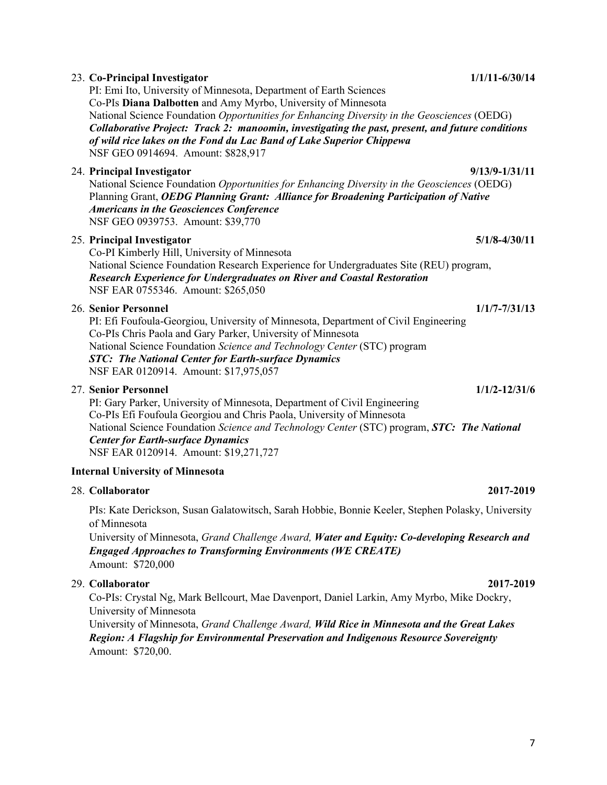|  | 23. Co-Principal Investigator<br>PI: Emi Ito, University of Minnesota, Department of Earth Sciences                                                                                                                                                                                                                                                                            | $1/1/11 - 6/30/14$ |  |  |  |
|--|--------------------------------------------------------------------------------------------------------------------------------------------------------------------------------------------------------------------------------------------------------------------------------------------------------------------------------------------------------------------------------|--------------------|--|--|--|
|  | Co-PIs Diana Dalbotten and Amy Myrbo, University of Minnesota<br>National Science Foundation Opportunities for Enhancing Diversity in the Geosciences (OEDG)<br>Collaborative Project: Track 2: manoomin, investigating the past, present, and future conditions<br>of wild rice lakes on the Fond du Lac Band of Lake Superior Chippewa<br>NSF GEO 0914694. Amount: \$828,917 |                    |  |  |  |
|  | 24. Principal Investigator<br>National Science Foundation Opportunities for Enhancing Diversity in the Geosciences (OEDG)<br>Planning Grant, OEDG Planning Grant: Alliance for Broadening Participation of Native<br><b>Americans in the Geosciences Conference</b><br>NSF GEO 0939753. Amount: \$39,770                                                                       | $9/13/9 - 1/31/11$ |  |  |  |
|  | 25. Principal Investigator                                                                                                                                                                                                                                                                                                                                                     | $5/1/8 - 4/30/11$  |  |  |  |
|  | Co-PI Kimberly Hill, University of Minnesota<br>National Science Foundation Research Experience for Undergraduates Site (REU) program,<br>Research Experience for Undergraduates on River and Coastal Restoration<br>NSF EAR 0755346. Amount: \$265,050                                                                                                                        |                    |  |  |  |
|  | <b>26. Senior Personnel</b>                                                                                                                                                                                                                                                                                                                                                    | $1/1/7 - 7/31/13$  |  |  |  |
|  | PI: Efi Foufoula-Georgiou, University of Minnesota, Department of Civil Engineering<br>Co-PIs Chris Paola and Gary Parker, University of Minnesota<br>National Science Foundation Science and Technology Center (STC) program<br><b>STC: The National Center for Earth-surface Dynamics</b><br>NSF EAR 0120914. Amount: \$17,975,057                                           |                    |  |  |  |
|  | 27. Senior Personnel                                                                                                                                                                                                                                                                                                                                                           | $1/1/2 - 12/31/6$  |  |  |  |
|  | PI: Gary Parker, University of Minnesota, Department of Civil Engineering<br>Co-PIs Efi Foufoula Georgiou and Chris Paola, University of Minnesota<br>National Science Foundation Science and Technology Center (STC) program, STC: The National<br><b>Center for Earth-surface Dynamics</b><br>NSF EAR 0120914. Amount: \$19,271,727                                          |                    |  |  |  |
|  | <b>Internal University of Minnesota</b>                                                                                                                                                                                                                                                                                                                                        |                    |  |  |  |
|  | 28. Collaborator                                                                                                                                                                                                                                                                                                                                                               | 2017-2019          |  |  |  |
|  | PIs: Kate Derickson, Susan Galatowitsch, Sarah Hobbie, Bonnie Keeler, Stephen Polasky, University<br>of Minnesota<br>University of Minnesota, Grand Challenge Award, Water and Equity: Co-developing Research and                                                                                                                                                              |                    |  |  |  |
|  | <b>Engaged Approaches to Transforming Environments (WE CREATE)</b><br>Amount: \$720,000                                                                                                                                                                                                                                                                                        |                    |  |  |  |
|  | 29. Collaborator                                                                                                                                                                                                                                                                                                                                                               | 2017-2019          |  |  |  |
|  | Co-PIs: Crystal Ng, Mark Bellcourt, Mae Davenport, Daniel Larkin, Amy Myrbo, Mike Dockry,<br>University of Minnesota                                                                                                                                                                                                                                                           |                    |  |  |  |
|  | University of Minnesota, Grand Challenge Award, Wild Rice in Minnesota and the Great Lakes<br>Region: A Flagship for Environmental Preservation and Indigenous Resource Sovereignty<br>Amount: \$720,00.                                                                                                                                                                       |                    |  |  |  |
|  |                                                                                                                                                                                                                                                                                                                                                                                |                    |  |  |  |

# 7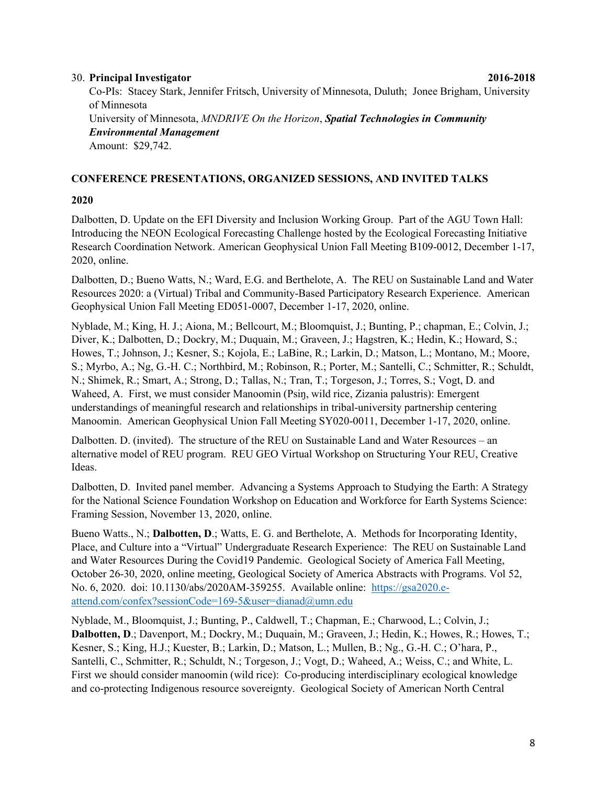#### 30. **Principal Investigator 2016-2018**

Co-PIs: Stacey Stark, Jennifer Fritsch, University of Minnesota, Duluth; Jonee Brigham, University of Minnesota University of Minnesota, *MNDRIVE On the Horizon*, *Spatial Technologies in Community Environmental Management* Amount:\$29,742.

#### **CONFERENCE PRESENTATIONS, ORGANIZED SESSIONS, AND INVITED TALKS**

#### **2020**

Dalbotten, D. Update on the EFI Diversity and Inclusion Working Group. Part of the AGU Town Hall: Introducing the NEON Ecological Forecasting Challenge hosted by the Ecological Forecasting Initiative Research Coordination Network. American Geophysical Union Fall Meeting B109-0012, December 1-17, 2020, online.

Dalbotten, D.; Bueno Watts, N.; Ward, E.G. and Berthelote, A. The REU on Sustainable Land and Water Resources 2020: a (Virtual) Tribal and Community-Based Participatory Research Experience. American Geophysical Union Fall Meeting ED051-0007, December 1-17, 2020, online.

Nyblade, M.; King, H. J.; Aiona, M.; Bellcourt, M.; Bloomquist, J.; Bunting, P.; chapman, E.; Colvin, J.; Diver, K.; Dalbotten, D.; Dockry, M.; Duquain, M.; Graveen, J.; Hagstren, K.; Hedin, K.; Howard, S.; Howes, T.; Johnson, J.; Kesner, S.; Kojola, E.; LaBine, R.; Larkin, D.; Matson, L.; Montano, M.; Moore, S.; Myrbo, A.; Ng, G.-H. C.; Northbird, M.; Robinson, R.; Porter, M.; Santelli, C.; Schmitter, R.; Schuldt, N.; Shimek, R.; Smart, A.; Strong, D.; Tallas, N.; Tran, T.; Torgeson, J.; Torres, S.; Vogt, D. and Waheed, A. First, we must consider Manoomin (Psiŋ, wild rice, Zizania palustris): Emergent understandings of meaningful research and relationships in tribal-university partnership centering Manoomin. American Geophysical Union Fall Meeting SY020-0011, December 1-17, 2020, online.

Dalbotten. D. (invited). The structure of the REU on Sustainable Land and Water Resources – an alternative model of REU program. REU GEO Virtual Workshop on Structuring Your REU, Creative Ideas.

Dalbotten, D. Invited panel member. Advancing a Systems Approach to Studying the Earth: A Strategy for the National Science Foundation Workshop on Education and Workforce for Earth Systems Science: Framing Session, November 13, 2020, online.

Bueno Watts., N.; **Dalbotten, D**.; Watts, E. G. and Berthelote, A. Methods for Incorporating Identity, Place, and Culture into a "Virtual" Undergraduate Research Experience: The REU on Sustainable Land and Water Resources During the Covid19 Pandemic. Geological Society of America Fall Meeting, October 26-30, 2020, online meeting, Geological Society of America Abstracts with Programs. Vol 52, No. 6, 2020. doi: 10.1130/abs/2020AM-359255. Available online: [https://gsa2020.e](https://gsa2020.e-attend.com/confex?sessionCode=169-5&user=dianad@umn.edu)[attend.com/confex?sessionCode=169-5&user=dianad@umn.edu](https://gsa2020.e-attend.com/confex?sessionCode=169-5&user=dianad@umn.edu)

Nyblade, M., Bloomquist, J.; Bunting, P., Caldwell, T.; Chapman, E.; Charwood, L.; Colvin, J.; **Dalbotten, D**.; Davenport, M.; Dockry, M.; Duquain, M.; Graveen, J.; Hedin, K.; Howes, R.; Howes, T.; Kesner, S.; King, H.J.; Kuester, B.; Larkin, D.; Matson, L.; Mullen, B.; Ng., G.-H. C.; O'hara, P., Santelli, C., Schmitter, R.; Schuldt, N.; Torgeson, J.; Vogt, D.; Waheed, A.; Weiss, C.; and White, L. First we should consider manoomin (wild rice): Co-producing interdisciplinary ecological knowledge and co-protecting Indigenous resource sovereignty. Geological Society of American North Central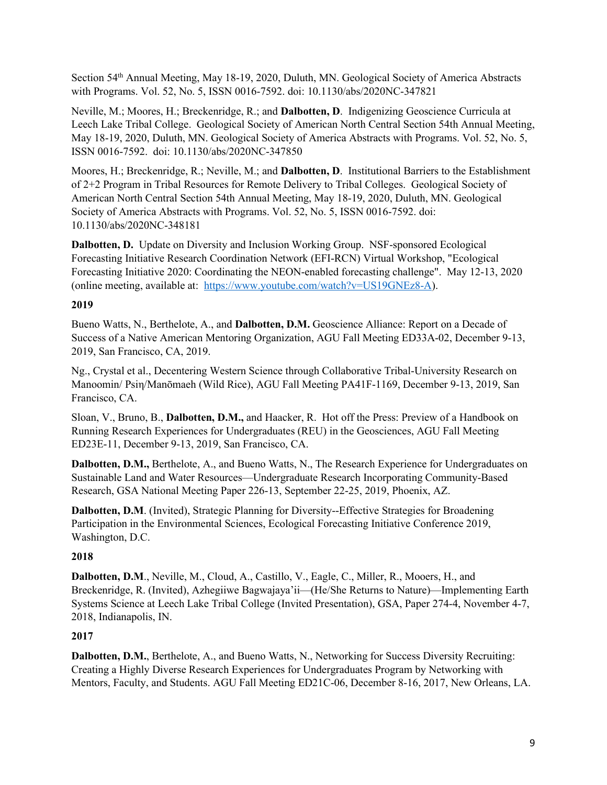Section 54th Annual Meeting, May 18-19, 2020, Duluth, MN. Geological Society of America Abstracts with Programs. Vol. 52, No. 5, ISSN 0016-7592. doi: 10.1130/abs/2020NC-347821

Neville, M.; Moores, H.; Breckenridge, R.; and **Dalbotten, D**. Indigenizing Geoscience Curricula at Leech Lake Tribal College. Geological Society of American North Central Section 54th Annual Meeting, May 18-19, 2020, Duluth, MN. Geological Society of America Abstracts with Programs. Vol. 52, No. 5, ISSN 0016-7592. doi: 10.1130/abs/2020NC-347850

Moores, H.; Breckenridge, R.; Neville, M.; and **Dalbotten, D**. Institutional Barriers to the Establishment of 2+2 Program in Tribal Resources for Remote Delivery to Tribal Colleges. Geological Society of American North Central Section 54th Annual Meeting, May 18-19, 2020, Duluth, MN. Geological Society of America Abstracts with Programs. Vol. 52, No. 5, ISSN 0016-7592. doi: 10.1130/abs/2020NC-348181

**Dalbotten, D.** Update on Diversity and Inclusion Working Group. NSF-sponsored Ecological Forecasting Initiative Research Coordination Network (EFI-RCN) Virtual Workshop, "Ecological Forecasting Initiative 2020: Coordinating the NEON-enabled forecasting challenge". May 12-13, 2020 (online meeting, available at: [https://www.youtube.com/watch?v=US19GNEz8-A\)](https://www.youtube.com/watch?v=US19GNEz8-A).

## **2019**

Bueno Watts, N., Berthelote, A., and **Dalbotten, D.M.** Geoscience Alliance: Report on a Decade of Success of a Native American Mentoring Organization, AGU Fall Meeting ED33A-02, December 9-13, 2019, San Francisco, CA, 2019.

Ng., Crystal et al., Decentering Western Science through Collaborative Tribal-University Research on Manoomin/ Psiη/Manōmaeh (Wild Rice), AGU Fall Meeting PA41F-1169, December 9-13, 2019, San Francisco, CA.

Sloan, V., Bruno, B., **Dalbotten, D.M.,** and Haacker, R. Hot off the Press: Preview of a Handbook on Running Research Experiences for Undergraduates (REU) in the Geosciences, AGU Fall Meeting ED23E-11, December 9-13, 2019, San Francisco, CA.

**Dalbotten, D.M.,** Berthelote, A., and Bueno Watts, N., The Research Experience for Undergraduates on Sustainable Land and Water Resources—Undergraduate Research Incorporating Community-Based Research, GSA National Meeting Paper 226-13, September 22-25, 2019, Phoenix, AZ.

**Dalbotten, D.M**. (Invited), Strategic Planning for Diversity--Effective Strategies for Broadening Participation in the Environmental Sciences, Ecological Forecasting Initiative Conference 2019, Washington, D.C.

# **2018**

**Dalbotten, D.M**., Neville, M., Cloud, A., Castillo, V., Eagle, C., Miller, R., Mooers, H., and Breckenridge, R. (Invited), Azhegiiwe Bagwajaya'ii—(He/She Returns to Nature)—Implementing Earth Systems Science at Leech Lake Tribal College (Invited Presentation), GSA, Paper 274-4, November 4-7, 2018, Indianapolis, IN.

### **2017**

**Dalbotten, D.M.**, Berthelote, A., and Bueno Watts, N., Networking for Success Diversity Recruiting: Creating a Highly Diverse Research Experiences for Undergraduates Program by Networking with Mentors, Faculty, and Students. AGU Fall Meeting ED21C-06, December 8-16, 2017, New Orleans, LA.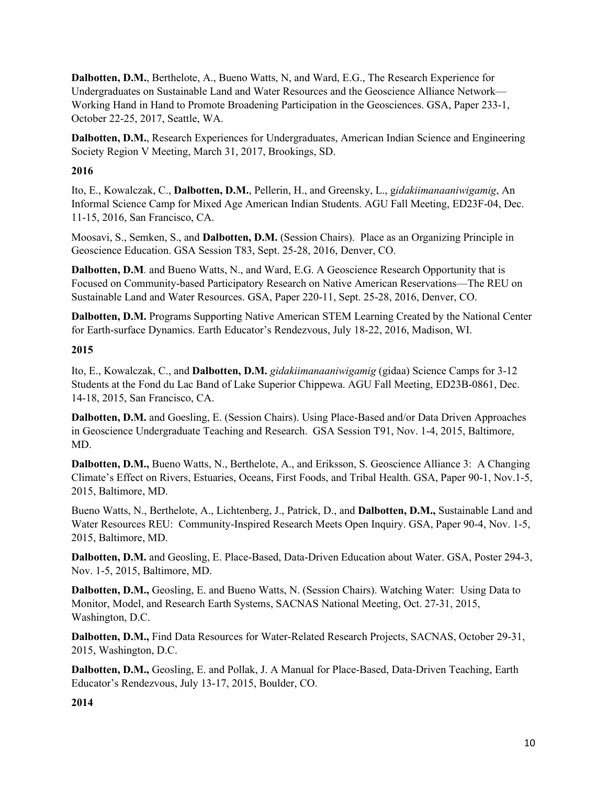**Dalbotten, D.M.**, Berthelote, A., Bueno Watts, N, and Ward, E.G., The Research Experience for Undergraduates on Sustainable Land and Water Resources and the Geoscience Alliance Network— Working Hand in Hand to Promote Broadening Participation in the Geosciences. GSA, Paper 233-1, October 22-25, 2017, Seattle, WA.

**Dalbotten, D.M.**, Research Experiences for Undergraduates, American Indian Science and Engineering Society Region V Meeting, March 31, 2017, Brookings, SD.

## **2016**

Ito, E., Kowalczak, C., **Dalbotten, D.M.**, Pellerin, H., and Greensky, L., g*idakiimanaaniwigamig*, An Informal Science Camp for Mixed Age American Indian Students. AGU Fall Meeting, ED23F-04, Dec. 11-15, 2016, San Francisco, CA.

Moosavi, S., Semken, S., and **Dalbotten, D.M.** (Session Chairs). Place as an Organizing Principle in Geoscience Education. GSA Session T83, Sept. 25-28, 2016, Denver, CO.

**Dalbotten, D.M***.* and Bueno Watts, N., and Ward, E.G. A Geoscience Research Opportunity that is Focused on Community-based Participatory Research on Native American Reservations—The REU on Sustainable Land and Water Resources. GSA, Paper 220-11, Sept. 25-28, 2016, Denver, CO.

**Dalbotten, D.M.** Programs Supporting Native American STEM Learning Created by the National Center for Earth-surface Dynamics. Earth Educator's Rendezvous, July 18-22, 2016, Madison, WI.

## **2015**

Ito, E., Kowalczak, C., and **Dalbotten, D.M.** *gidakiimanaaniwigamig* (gidaa) Science Camps for 3-12 Students at the Fond du Lac Band of Lake Superior Chippewa. AGU Fall Meeting, ED23B-0861, Dec. 14-18, 2015, San Francisco, CA.

**Dalbotten, D.M.** and Goesling, E. (Session Chairs). Using Place-Based and/or Data Driven Approaches in Geoscience Undergraduate Teaching and Research. GSA Session T91, Nov. 1-4, 2015, Baltimore, MD.

**Dalbotten, D.M.,** Bueno Watts, N., Berthelote, A., and Eriksson, S. Geoscience Alliance 3: A Changing Climate's Effect on Rivers, Estuaries, Oceans, First Foods, and Tribal Health. GSA, Paper 90-1, Nov.1-5, 2015, Baltimore, MD.

Bueno Watts, N., Berthelote, A., Lichtenberg, J., Patrick, D., and **Dalbotten, D.M.,** Sustainable Land and Water Resources REU: Community-Inspired Research Meets Open Inquiry. GSA, Paper 90-4, Nov. 1-5, 2015, Baltimore, MD.

**Dalbotten, D.M.** and Geosling, E. Place-Based, Data-Driven Education about Water. GSA, Poster 294-3, Nov. 1-5, 2015, Baltimore, MD.

**Dalbotten, D.M.,** Geosling, E. and Bueno Watts, N. (Session Chairs). Watching Water: Using Data to Monitor, Model, and Research Earth Systems, SACNAS National Meeting, Oct. 27-31, 2015, Washington, D.C.

**Dalbotten, D.M.,** Find Data Resources for Water-Related Research Projects, SACNAS, October 29-31, 2015, Washington, D.C.

**Dalbotten, D.M.,** Geosling, E. and Pollak, J. A Manual for Place-Based, Data-Driven Teaching, Earth Educator's Rendezvous, July 13-17, 2015, Boulder, CO.

**2014**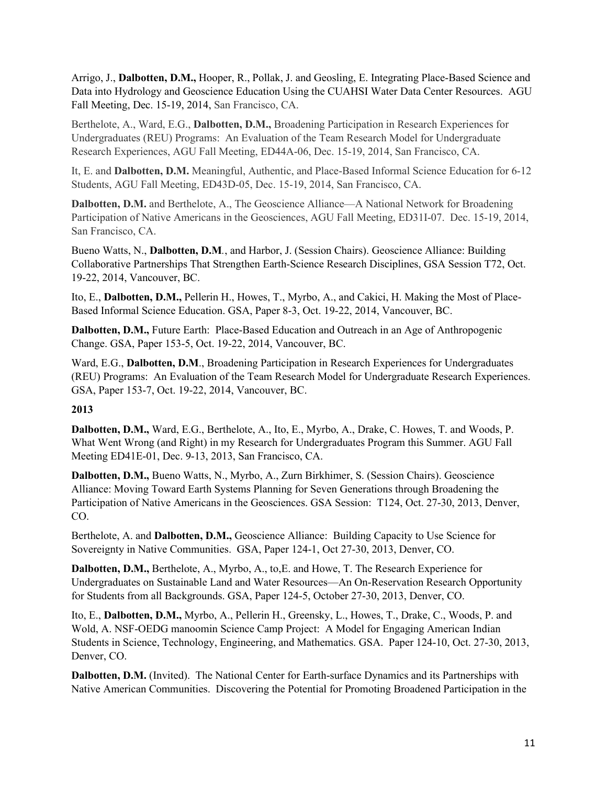Arrigo, J., **Dalbotten, D.M.,** Hooper, R., Pollak, J. and Geosling, E. Integrating Place-Based Science and Data into Hydrology and Geoscience Education Using the CUAHSI Water Data Center Resources. AGU Fall Meeting, Dec. 15-19, 2014, San Francisco, CA.

Berthelote, A., Ward, E.G., **Dalbotten, D.M.,** Broadening Participation in Research Experiences for Undergraduates (REU) Programs: An Evaluation of the Team Research Model for Undergraduate Research Experiences, AGU Fall Meeting, ED44A-06, Dec. 15-19, 2014, San Francisco, CA.

It, E. and **Dalbotten, D.M.** Meaningful, Authentic, and Place-Based Informal Science Education for 6-12 Students, AGU Fall Meeting, ED43D-05, Dec. 15-19, 2014, San Francisco, CA.

**Dalbotten, D.M.** and Berthelote, A., The Geoscience Alliance—A National Network for Broadening Participation of Native Americans in the Geosciences, AGU Fall Meeting, ED31I-07. Dec. 15-19, 2014, San Francisco, CA.

Bueno Watts, N., **Dalbotten, D.M***.*, and Harbor, J. (Session Chairs). Geoscience Alliance: Building Collaborative Partnerships That Strengthen Earth-Science Research Disciplines, GSA Session T72, Oct. 19-22, 2014, Vancouver, BC.

Ito, E., **Dalbotten, D.M.,** Pellerin H., Howes, T., Myrbo, A., and Cakici, H. Making the Most of Place-Based Informal Science Education. GSA, Paper 8-3, Oct. 19-22, 2014, Vancouver, BC.

**Dalbotten, D.M., Future Earth: Place-Based Education and Outreach in an Age of Anthropogenic** Change. GSA, Paper 153-5, Oct. 19-22, 2014, Vancouver, BC.

Ward, E.G., **Dalbotten, D.M**., Broadening Participation in Research Experiences for Undergraduates (REU) Programs: An Evaluation of the Team Research Model for Undergraduate Research Experiences. GSA, Paper 153-7, Oct. 19-22, 2014, Vancouver, BC.

### **2013**

**Dalbotten, D.M.,** Ward, E.G., Berthelote, A., Ito, E., Myrbo, A., Drake, C. Howes, T. and Woods, P. What Went Wrong (and Right) in my Research for Undergraduates Program this Summer. AGU Fall Meeting ED41E-01, Dec. 9-13, 2013, San Francisco, CA.

**Dalbotten, D.M.,** Bueno Watts, N., Myrbo, A., Zurn Birkhimer, S. (Session Chairs). Geoscience Alliance: Moving Toward Earth Systems Planning for Seven Generations through Broadening the Participation of Native Americans in the Geosciences. GSA Session: T124, Oct. 27-30, 2013, Denver, CO.

Berthelote, A. and **Dalbotten, D.M.,** Geoscience Alliance: Building Capacity to Use Science for Sovereignty in Native Communities. GSA, Paper 124-1, Oct 27-30, 2013, Denver, CO.

**Dalbotten, D.M.,** Berthelote, A., Myrbo, A., to,E. and Howe, T. The Research Experience for Undergraduates on Sustainable Land and Water Resources—An On-Reservation Research Opportunity for Students from all Backgrounds. GSA, Paper 124-5, October 27-30, 2013, Denver, CO.

Ito, E., **Dalbotten, D.M.,** Myrbo, A., Pellerin H., Greensky, L., Howes, T., Drake, C., Woods, P. and Wold, A. NSF-OEDG manoomin Science Camp Project: A Model for Engaging American Indian Students in Science, Technology, Engineering, and Mathematics. GSA. Paper 124-10, Oct. 27-30, 2013, Denver, CO.

**Dalbotten, D.M.** (Invited). The National Center for Earth-surface Dynamics and its Partnerships with Native American Communities. Discovering the Potential for Promoting Broadened Participation in the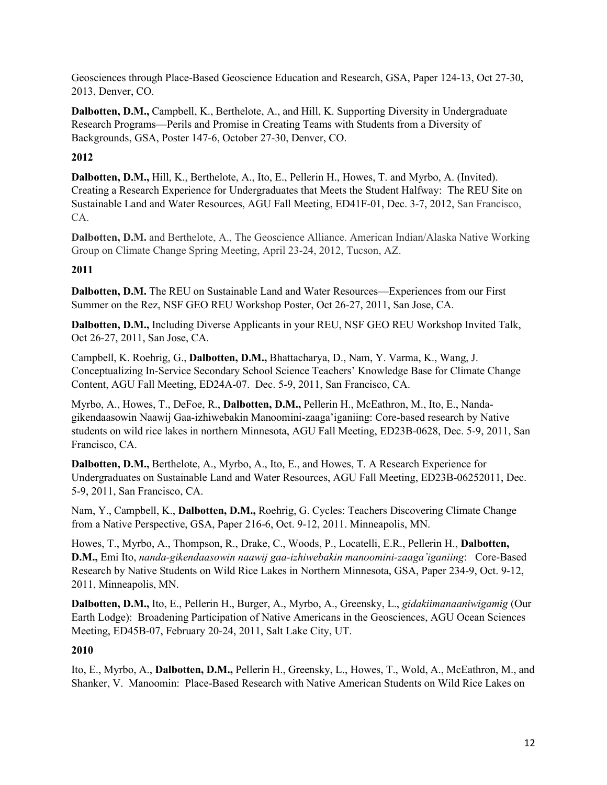Geosciences through Place-Based Geoscience Education and Research, GSA, Paper 124-13, Oct 27-30, 2013, Denver, CO.

**Dalbotten, D.M.,** Campbell, K., Berthelote, A., and Hill, K. Supporting Diversity in Undergraduate Research Programs—Perils and Promise in Creating Teams with Students from a Diversity of Backgrounds, GSA, Poster 147-6, October 27-30, Denver, CO.

# **2012**

**Dalbotten, D.M.,** Hill, K., Berthelote, A., Ito, E., Pellerin H., Howes, T. and Myrbo, A. (Invited). Creating a Research Experience for Undergraduates that Meets the Student Halfway: The REU Site on Sustainable Land and Water Resources, AGU Fall Meeting, ED41F-01, Dec. 3-7, 2012, San Francisco, CA.

**Dalbotten, D.M.** and Berthelote, A., The Geoscience Alliance. American Indian/Alaska Native Working Group on Climate Change Spring Meeting, April 23-24, 2012, Tucson, AZ.

# **2011**

**Dalbotten, D.M.** The REU on Sustainable Land and Water Resources—Experiences from our First Summer on the Rez, NSF GEO REU Workshop Poster, Oct 26-27, 2011, San Jose, CA.

**Dalbotten, D.M.,** Including Diverse Applicants in your REU, NSF GEO REU Workshop Invited Talk, Oct 26-27, 2011, San Jose, CA.

Campbell, K. Roehrig, G., **Dalbotten, D.M.,** Bhattacharya, D., Nam, Y. Varma, K., Wang, J. Conceptualizing In-Service Secondary School Science Teachers' Knowledge Base for Climate Change Content, AGU Fall Meeting, ED24A-07. Dec. 5-9, 2011, San Francisco, CA.

Myrbo, A., Howes, T., DeFoe, R., **Dalbotten, D.M.,** Pellerin H., McEathron, M., Ito, E., Nandagikendaasowin Naawij Gaa-izhiwebakin Manoomini-zaaga'iganiing: Core-based research by Native students on wild rice lakes in northern Minnesota, AGU Fall Meeting, ED23B-0628, Dec. 5-9, 2011, San Francisco, CA.

**Dalbotten, D.M.,** Berthelote, A., Myrbo, A., Ito, E., and Howes, T. A Research Experience for Undergraduates on Sustainable Land and Water Resources, AGU Fall Meeting, ED23B-06252011, Dec. 5-9, 2011, San Francisco, CA.

Nam, Y., Campbell, K., **Dalbotten, D.M.,** Roehrig, G. Cycles: Teachers Discovering Climate Change from a Native Perspective, GSA, Paper 216-6, Oct. 9-12, 2011. Minneapolis, MN.

Howes, T., Myrbo, A., Thompson, R., Drake, C., Woods, P., Locatelli, E.R., Pellerin H., **Dalbotten, D.M.,** Emi Ito, *nanda-gikendaasowin naawij gaa-izhiwebakin manoomini-zaaga'iganiing*: Core-Based Research by Native Students on Wild Rice Lakes in Northern Minnesota, GSA, Paper 234-9, Oct. 9-12, 2011, Minneapolis, MN.

**Dalbotten, D.M.,** Ito, E., Pellerin H., Burger, A., Myrbo, A., Greensky, L., *gidakiimanaaniwigamig* (Our Earth Lodge): Broadening Participation of Native Americans in the Geosciences, AGU Ocean Sciences Meeting, ED45B-07, February 20-24, 2011, Salt Lake City, UT.

### **2010**

Ito, E., Myrbo, A., **Dalbotten, D.M.,** Pellerin H., Greensky, L., Howes, T., Wold, A., McEathron, M., and Shanker, V. Manoomin: Place-Based Research with Native American Students on Wild Rice Lakes on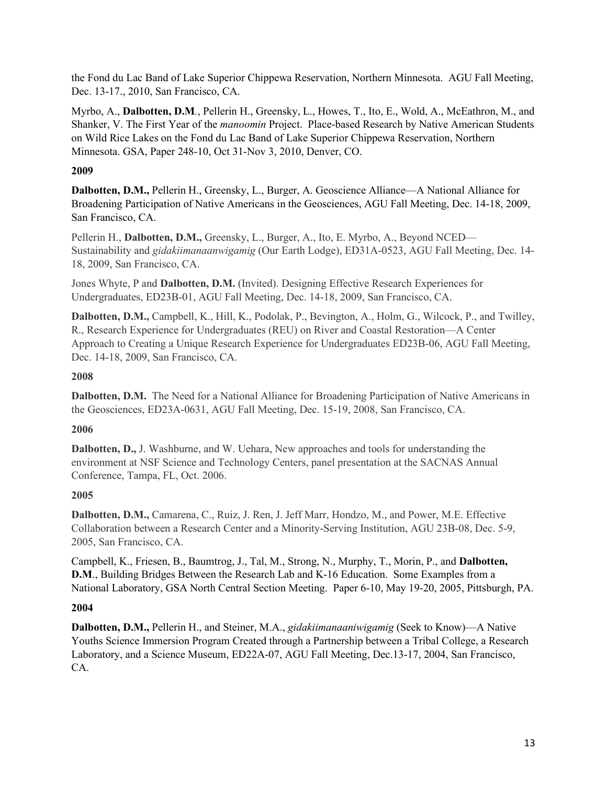the Fond du Lac Band of Lake Superior Chippewa Reservation, Northern Minnesota. AGU Fall Meeting, Dec. 13-17., 2010, San Francisco, CA.

Myrbo, A., **Dalbotten, D.M***.*, Pellerin H., Greensky, L., Howes, T., Ito, E., Wold, A., McEathron, M., and Shanker, V. The First Year of the *manoomin* Project. Place-based Research by Native American Students on Wild Rice Lakes on the Fond du Lac Band of Lake Superior Chippewa Reservation, Northern Minnesota. GSA, Paper 248-10, Oct 31-Nov 3, 2010, Denver, CO.

# **2009**

**Dalbotten, D.M.,** Pellerin H., Greensky, L., Burger, A. Geoscience Alliance—A National Alliance for Broadening Participation of Native Americans in the Geosciences, AGU Fall Meeting, Dec. 14-18, 2009, San Francisco, CA.

Pellerin H., **Dalbotten, D.M.,** Greensky, L., Burger, A., Ito, E. Myrbo, A., Beyond NCED— Sustainability and *gidakiimanaanwigamig* (Our Earth Lodge), ED31A-0523, AGU Fall Meeting, Dec. 14- 18, 2009, San Francisco, CA.

Jones Whyte, P and **Dalbotten, D.M.** (Invited). Designing Effective Research Experiences for Undergraduates, ED23B-01, AGU Fall Meeting, Dec. 14-18, 2009, San Francisco, CA.

**Dalbotten, D.M.,** Campbell, K., Hill, K., Podolak, P., Bevington, A., Holm, G., Wilcock, P., and Twilley, R., Research Experience for Undergraduates (REU) on River and Coastal Restoration—A Center Approach to Creating a Unique Research Experience for Undergraduates ED23B-06, AGU Fall Meeting, Dec. 14-18, 2009, San Francisco, CA.

## **2008**

**Dalbotten, D.M.** The Need for a National Alliance for Broadening Participation of Native Americans in the Geosciences, ED23A-0631, AGU Fall Meeting, Dec. 15-19, 2008, San Francisco, CA.

# **2006**

**Dalbotten, D.,** J. Washburne, and W. Uehara, New approaches and tools for understanding the environment at NSF Science and Technology Centers, panel presentation at the SACNAS Annual Conference, Tampa, FL, Oct. 2006.

# **2005**

**Dalbotten, D.M.,** Camarena, C., Ruiz, J. Ren, J. Jeff Marr, Hondzo, M., and Power, M.E. Effective Collaboration between a Research Center and a Minority-Serving Institution, AGU 23B-08, Dec. 5-9, 2005, San Francisco, CA.

Campbell, K., Friesen, B., Baumtrog, J., Tal, M., Strong, N., Murphy, T., Morin, P., and **Dalbotten, D.M**., Building Bridges Between the Research Lab and K-16 Education. Some Examples from a National Laboratory, GSA North Central Section Meeting. Paper 6-10, May 19-20, 2005, Pittsburgh, PA.

# **2004**

**Dalbotten, D.M.,** Pellerin H., and Steiner, M.A., *gidakiimanaaniwigamig* (Seek to Know)—A Native Youths Science Immersion Program Created through a Partnership between a Tribal College, a Research Laboratory, and a Science Museum, ED22A-07, AGU Fall Meeting, Dec.13-17, 2004, San Francisco, CA.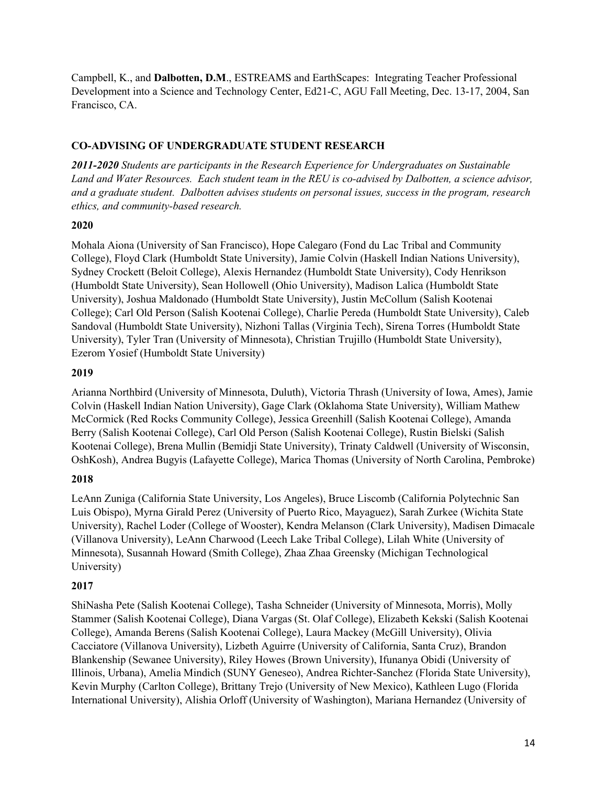Campbell, K., and **Dalbotten, D.M**., ESTREAMS and EarthScapes: Integrating Teacher Professional Development into a Science and Technology Center, Ed21-C, AGU Fall Meeting, Dec. 13-17, 2004, San Francisco, CA.

## **CO-ADVISING OF UNDERGRADUATE STUDENT RESEARCH**

*2011-2020 Students are participants in the Research Experience for Undergraduates on Sustainable Land and Water Resources. Each student team in the REU is co-advised by Dalbotten, a science advisor, and a graduate student. Dalbotten advises students on personal issues, success in the program, research ethics, and community-based research.*

## **2020**

Mohala Aiona (University of San Francisco), Hope Calegaro (Fond du Lac Tribal and Community College), Floyd Clark (Humboldt State University), Jamie Colvin (Haskell Indian Nations University), Sydney Crockett (Beloit College), Alexis Hernandez (Humboldt State University), Cody Henrikson (Humboldt State University), Sean Hollowell (Ohio University), Madison Lalica (Humboldt State University), Joshua Maldonado (Humboldt State University), Justin McCollum (Salish Kootenai College); Carl Old Person (Salish Kootenai College), Charlie Pereda (Humboldt State University), Caleb Sandoval (Humboldt State University), Nizhoni Tallas (Virginia Tech), Sirena Torres (Humboldt State University), Tyler Tran (University of Minnesota), Christian Trujillo (Humboldt State University), Ezerom Yosief (Humboldt State University)

## **2019**

Arianna Northbird (University of Minnesota, Duluth), Victoria Thrash (University of Iowa, Ames), Jamie Colvin (Haskell Indian Nation University), Gage Clark (Oklahoma State University), William Mathew McCormick (Red Rocks Community College), Jessica Greenhill (Salish Kootenai College), Amanda Berry (Salish Kootenai College), Carl Old Person (Salish Kootenai College), Rustin Bielski (Salish Kootenai College), Brena Mullin (Bemidji State University), Trinaty Caldwell (University of Wisconsin, OshKosh), Andrea Bugyis (Lafayette College), Marica Thomas (University of North Carolina, Pembroke)

# **2018**

LeAnn Zuniga (California State University, Los Angeles), Bruce Liscomb (California Polytechnic San Luis Obispo), Myrna Girald Perez (University of Puerto Rico, Mayaguez), Sarah Zurkee (Wichita State University), Rachel Loder (College of Wooster), Kendra Melanson (Clark University), Madisen Dimacale (Villanova University), LeAnn Charwood (Leech Lake Tribal College), Lilah White (University of Minnesota), Susannah Howard (Smith College), Zhaa Zhaa Greensky (Michigan Technological University)

# **2017**

ShiNasha Pete (Salish Kootenai College), Tasha Schneider (University of Minnesota, Morris), Molly Stammer (Salish Kootenai College), Diana Vargas (St. Olaf College), Elizabeth Kekski (Salish Kootenai College), Amanda Berens (Salish Kootenai College), Laura Mackey (McGill University), Olivia Cacciatore (Villanova University), Lizbeth Aguirre (University of California, Santa Cruz), Brandon Blankenship (Sewanee University), Riley Howes (Brown University), Ifunanya Obidi (University of Illinois, Urbana), Amelia Mindich (SUNY Geneseo), Andrea Richter-Sanchez (Florida State University), Kevin Murphy (Carlton College), Brittany Trejo (University of New Mexico), Kathleen Lugo (Florida International University), Alishia Orloff (University of Washington), Mariana Hernandez (University of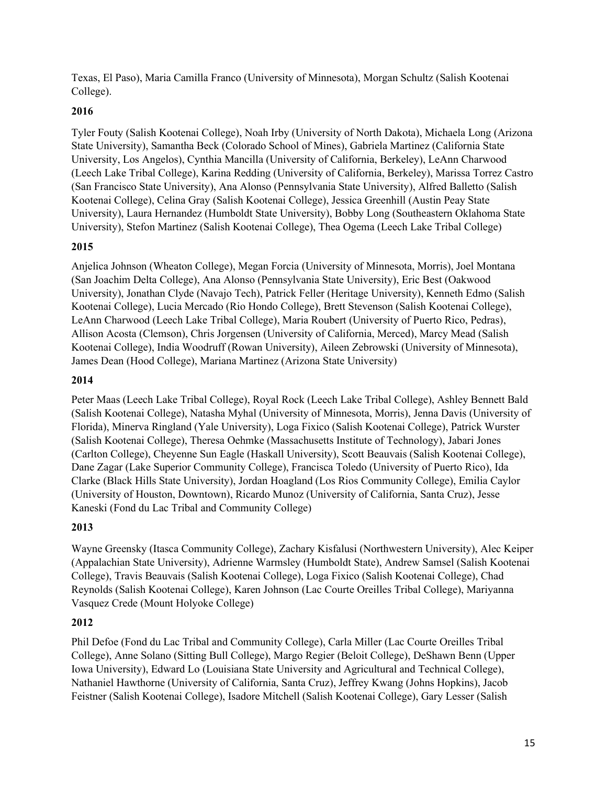Texas, El Paso), Maria Camilla Franco (University of Minnesota), Morgan Schultz (Salish Kootenai College).

## **2016**

Tyler Fouty (Salish Kootenai College), Noah Irby (University of North Dakota), Michaela Long (Arizona State University), Samantha Beck (Colorado School of Mines), Gabriela Martinez (California State University, Los Angelos), Cynthia Mancilla (University of California, Berkeley), LeAnn Charwood (Leech Lake Tribal College), Karina Redding (University of California, Berkeley), Marissa Torrez Castro (San Francisco State University), Ana Alonso (Pennsylvania State University), Alfred Balletto (Salish Kootenai College), Celina Gray (Salish Kootenai College), Jessica Greenhill (Austin Peay State University), Laura Hernandez (Humboldt State University), Bobby Long (Southeastern Oklahoma State University), Stefon Martinez (Salish Kootenai College), Thea Ogema (Leech Lake Tribal College)

## **2015**

Anjelica Johnson (Wheaton College), Megan Forcia (University of Minnesota, Morris), Joel Montana (San Joachim Delta College), Ana Alonso (Pennsylvania State University), Eric Best (Oakwood University), Jonathan Clyde (Navajo Tech), Patrick Feller (Heritage University), Kenneth Edmo (Salish Kootenai College), Lucia Mercado (Rio Hondo College), Brett Stevenson (Salish Kootenai College), LeAnn Charwood (Leech Lake Tribal College), Maria Roubert (University of Puerto Rico, Pedras), Allison Acosta (Clemson), Chris Jorgensen (University of California, Merced), Marcy Mead (Salish Kootenai College), India Woodruff (Rowan University), Aileen Zebrowski (University of Minnesota), James Dean (Hood College), Mariana Martinez (Arizona State University)

### **2014**

Peter Maas (Leech Lake Tribal College), Royal Rock (Leech Lake Tribal College), Ashley Bennett Bald (Salish Kootenai College), Natasha Myhal (University of Minnesota, Morris), Jenna Davis (University of Florida), Minerva Ringland (Yale University), Loga Fixico (Salish Kootenai College), Patrick Wurster (Salish Kootenai College), Theresa Oehmke (Massachusetts Institute of Technology), Jabari Jones (Carlton College), Cheyenne Sun Eagle (Haskall University), Scott Beauvais (Salish Kootenai College), Dane Zagar (Lake Superior Community College), Francisca Toledo (University of Puerto Rico), Ida Clarke (Black Hills State University), Jordan Hoagland (Los Rios Community College), Emilia Caylor (University of Houston, Downtown), Ricardo Munoz (University of California, Santa Cruz), Jesse Kaneski (Fond du Lac Tribal and Community College)

# **2013**

Wayne Greensky (Itasca Community College), Zachary Kisfalusi (Northwestern University), Alec Keiper (Appalachian State University), Adrienne Warmsley (Humboldt State), Andrew Samsel (Salish Kootenai College), Travis Beauvais (Salish Kootenai College), Loga Fixico (Salish Kootenai College), Chad Reynolds (Salish Kootenai College), Karen Johnson (Lac Courte Oreilles Tribal College), Mariyanna Vasquez Crede (Mount Holyoke College)

# **2012**

Phil Defoe (Fond du Lac Tribal and Community College), Carla Miller (Lac Courte Oreilles Tribal College), Anne Solano (Sitting Bull College), Margo Regier (Beloit College), DeShawn Benn (Upper Iowa University), Edward Lo (Louisiana State University and Agricultural and Technical College), Nathaniel Hawthorne (University of California, Santa Cruz), Jeffrey Kwang (Johns Hopkins), Jacob Feistner (Salish Kootenai College), Isadore Mitchell (Salish Kootenai College), Gary Lesser (Salish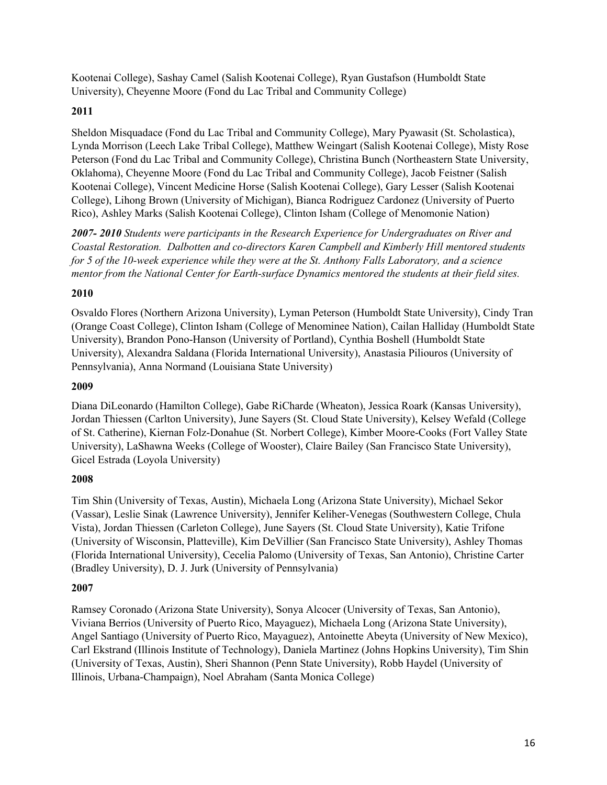Kootenai College), Sashay Camel (Salish Kootenai College), Ryan Gustafson (Humboldt State University), Cheyenne Moore (Fond du Lac Tribal and Community College)

## **2011**

Sheldon Misquadace (Fond du Lac Tribal and Community College), Mary Pyawasit (St. Scholastica), Lynda Morrison (Leech Lake Tribal College), Matthew Weingart (Salish Kootenai College), Misty Rose Peterson (Fond du Lac Tribal and Community College), Christina Bunch (Northeastern State University, Oklahoma), Cheyenne Moore (Fond du Lac Tribal and Community College), Jacob Feistner (Salish Kootenai College), Vincent Medicine Horse (Salish Kootenai College), Gary Lesser (Salish Kootenai College), Lihong Brown (University of Michigan), Bianca Rodriguez Cardonez (University of Puerto Rico), Ashley Marks (Salish Kootenai College), Clinton Isham (College of Menomonie Nation)

*2007- 2010 Students were participants in the Research Experience for Undergraduates on River and Coastal Restoration. Dalbotten and co-directors Karen Campbell and Kimberly Hill mentored students for 5 of the 10-week experience while they were at the St. Anthony Falls Laboratory, and a science mentor from the National Center for Earth-surface Dynamics mentored the students at their field sites.*

### **2010**

Osvaldo Flores (Northern Arizona University), Lyman Peterson (Humboldt State University), Cindy Tran (Orange Coast College), Clinton Isham (College of Menominee Nation), Cailan Halliday (Humboldt State University), Brandon Pono-Hanson (University of Portland), Cynthia Boshell (Humboldt State University), Alexandra Saldana (Florida International University), Anastasia Piliouros (University of Pennsylvania), Anna Normand (Louisiana State University)

### **2009**

Diana DiLeonardo (Hamilton College), Gabe RiCharde (Wheaton), Jessica Roark (Kansas University), Jordan Thiessen (Carlton University), June Sayers (St. Cloud State University), Kelsey Wefald (College of St. Catherine), Kiernan Folz-Donahue (St. Norbert College), Kimber Moore-Cooks (Fort Valley State University), LaShawna Weeks (College of Wooster), Claire Bailey (San Francisco State University), Gicel Estrada (Loyola University)

### **2008**

Tim Shin (University of Texas, Austin), Michaela Long (Arizona State University), Michael Sekor (Vassar), Leslie Sinak (Lawrence University), Jennifer Keliher-Venegas (Southwestern College, Chula Vista), Jordan Thiessen (Carleton College), June Sayers (St. Cloud State University), Katie Trifone (University of Wisconsin, Platteville), Kim DeVillier (San Francisco State University), Ashley Thomas (Florida International University), Cecelia Palomo (University of Texas, San Antonio), Christine Carter (Bradley University), D. J. Jurk (University of Pennsylvania)

# **2007**

Ramsey Coronado (Arizona State University), Sonya Alcocer (University of Texas, San Antonio), Viviana Berrios (University of Puerto Rico, Mayaguez), Michaela Long (Arizona State University), Angel Santiago (University of Puerto Rico, Mayaguez), Antoinette Abeyta (University of New Mexico), Carl Ekstrand (Illinois Institute of Technology), Daniela Martinez (Johns Hopkins University), Tim Shin (University of Texas, Austin), Sheri Shannon (Penn State University), Robb Haydel (University of Illinois, Urbana-Champaign), Noel Abraham (Santa Monica College)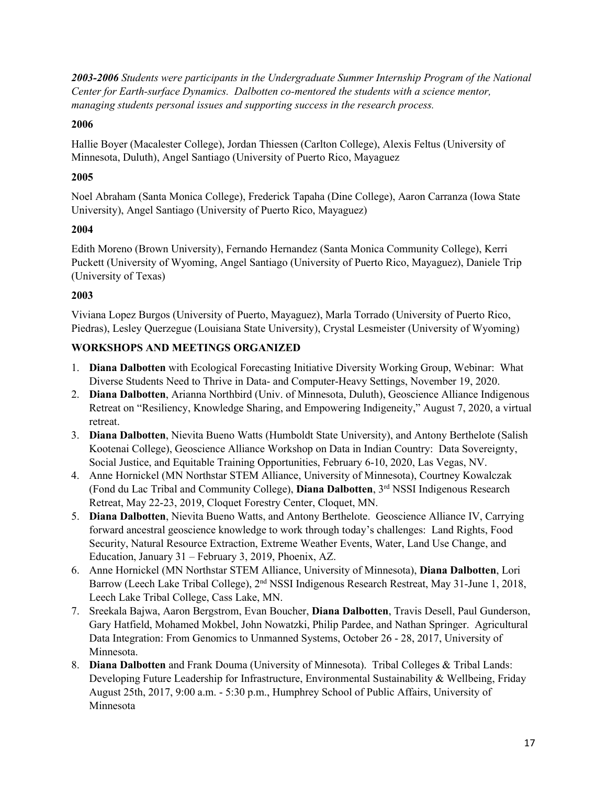*2003-2006 Students were participants in the Undergraduate Summer Internship Program of the National Center for Earth-surface Dynamics. Dalbotten co-mentored the students with a science mentor, managing students personal issues and supporting success in the research process.*

# **2006**

Hallie Boyer (Macalester College), Jordan Thiessen (Carlton College), Alexis Feltus (University of Minnesota, Duluth), Angel Santiago (University of Puerto Rico, Mayaguez

# **2005**

Noel Abraham (Santa Monica College), Frederick Tapaha (Dine College), Aaron Carranza (Iowa State University), Angel Santiago (University of Puerto Rico, Mayaguez)

# **2004**

Edith Moreno (Brown University), Fernando Hernandez (Santa Monica Community College), Kerri Puckett (University of Wyoming, Angel Santiago (University of Puerto Rico, Mayaguez), Daniele Trip (University of Texas)

# **2003**

Viviana Lopez Burgos (University of Puerto, Mayaguez), Marla Torrado (University of Puerto Rico, Piedras), Lesley Querzegue (Louisiana State University), Crystal Lesmeister (University of Wyoming)

# **WORKSHOPS AND MEETINGS ORGANIZED**

- 1. **Diana Dalbotten** with Ecological Forecasting Initiative Diversity Working Group, Webinar: What Diverse Students Need to Thrive in Data- and Computer-Heavy Settings, November 19, 2020.
- 2. **Diana Dalbotten**, Arianna Northbird (Univ. of Minnesota, Duluth), Geoscience Alliance Indigenous Retreat on "Resiliency, Knowledge Sharing, and Empowering Indigeneity," August 7, 2020, a virtual retreat.
- 3. **Diana Dalbotten**, Nievita Bueno Watts (Humboldt State University), and Antony Berthelote (Salish Kootenai College), Geoscience Alliance Workshop on Data in Indian Country: Data Sovereignty, Social Justice, and Equitable Training Opportunities, February 6-10, 2020, Las Vegas, NV.
- 4. Anne Hornickel (MN Northstar STEM Alliance, University of Minnesota), Courtney Kowalczak (Fond du Lac Tribal and Community College), **Diana Dalbotten**, 3rd NSSI Indigenous Research Retreat, May 22-23, 2019, Cloquet Forestry Center, Cloquet, MN.
- 5. **Diana Dalbotten**, Nievita Bueno Watts, and Antony Berthelote. Geoscience Alliance IV, Carrying forward ancestral geoscience knowledge to work through today's challenges: Land Rights, Food Security, Natural Resource Extraction, Extreme Weather Events, Water, Land Use Change, and Education, January 31 – February 3, 2019, Phoenix, AZ.
- 6. Anne Hornickel (MN Northstar STEM Alliance, University of Minnesota), **Diana Dalbotten**, Lori Barrow (Leech Lake Tribal College), 2<sup>nd</sup> NSSI Indigenous Research Restreat, May 31-June 1, 2018, Leech Lake Tribal College, Cass Lake, MN.
- 7. Sreekala Bajwa, Aaron Bergstrom, Evan Boucher, **Diana Dalbotten**, Travis Desell, Paul Gunderson, Gary Hatfield, Mohamed Mokbel, John Nowatzki, Philip Pardee, and Nathan Springer. Agricultural Data Integration: From Genomics to Unmanned Systems, October 26 - 28, 2017, University of Minnesota.
- 8. **Diana Dalbotten** and Frank Douma (University of Minnesota). Tribal Colleges & Tribal Lands: Developing Future Leadership for Infrastructure, Environmental Sustainability & Wellbeing, Friday August 25th, 2017, 9:00 a.m. - 5:30 p.m., Humphrey School of Public Affairs, University of Minnesota